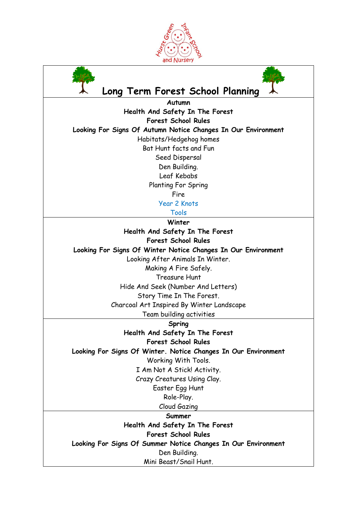